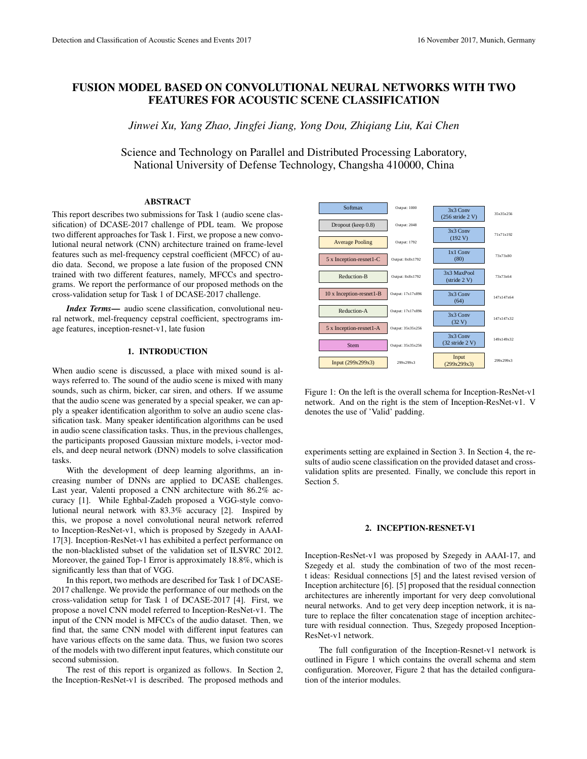# FUSION MODEL BASED ON CONVOLUTIONAL NEURAL NETWORKS WITH TWO FEATURES FOR ACOUSTIC SCENE CLASSIFICATION

*Jinwei Xu, Yang Zhao, Jingfei Jiang, Yong Dou, Zhiqiang Liu, Kai Chen*

Science and Technology on Parallel and Distributed Processing Laboratory, National University of Defense Technology, Changsha 410000, China

### ABSTRACT

This report describes two submissions for Task 1 (audio scene classification) of DCASE-2017 challenge of PDL team. We propose two different approaches for Task 1. First, we propose a new convolutional neural network (CNN) architecture trained on frame-level features such as mel-frequency cepstral coefficient (MFCC) of audio data. Second, we propose a late fusion of the proposed CNN trained with two different features, namely, MFCCs and spectrograms. We report the performance of our proposed methods on the cross-validation setup for Task 1 of DCASE-2017 challenge.

*Index Terms*— audio scene classification, convolutional neural network, mel-frequency cepstral coefficient, spectrograms image features, inception-resnet-v1, late fusion

# 1. INTRODUCTION

When audio scene is discussed, a place with mixed sound is always referred to. The sound of the audio scene is mixed with many sounds, such as chirm, bicker, car siren, and others. If we assume that the audio scene was generated by a special speaker, we can apply a speaker identification algorithm to solve an audio scene classification task. Many speaker identification algorithms can be used in audio scene classification tasks. Thus, in the previous challenges, the participants proposed Gaussian mixture models, i-vector models, and deep neural network (DNN) models to solve classification tasks.

With the development of deep learning algorithms, an increasing number of DNNs are applied to DCASE challenges. Last year, Valenti proposed a CNN architecture with 86.2% accuracy [1]. While Eghbal-Zadeh proposed a VGG-style convolutional neural network with 83.3% accuracy [2]. Inspired by this, we propose a novel convolutional neural network referred to Inception-ResNet-v1, which is proposed by Szegedy in AAAI-17[3]. Inception-ResNet-v1 has exhibited a perfect performance on the non-blacklisted subset of the validation set of ILSVRC 2012. Moreover, the gained Top-1 Error is approximately 18.8%, which is significantly less than that of VGG.

In this report, two methods are described for Task 1 of DCASE-2017 challenge. We provide the performance of our methods on the cross-validation setup for Task 1 of DCASE-2017 [4]. First, we propose a novel CNN model referred to Inception-ResNet-v1. The input of the CNN model is MFCCs of the audio dataset. Then, we find that, the same CNN model with different input features can have various effects on the same data. Thus, we fusion two scores of the models with two different input features, which constitute our second submission.

The rest of this report is organized as follows. In Section 2, the Inception-ResNet-v1 is described. The proposed methods and



Figure 1: On the left is the overall schema for Inception-ResNet-v1 network. And on the right is the stem of Inception-ResNet-v1. V denotes the use of 'Valid' padding.

experiments setting are explained in Section 3. In Section 4, the results of audio scene classification on the provided dataset and crossvalidation splits are presented. Finally, we conclude this report in Section 5.

## 2. INCEPTION-RESNET-V1

Inception-ResNet-v1 was proposed by Szegedy in AAAI-17, and Szegedy et al. study the combination of two of the most recent ideas: Residual connections [5] and the latest revised version of Inception architecture [6]. [5] proposed that the residual connection architectures are inherently important for very deep convolutional neural networks. And to get very deep inception network, it is nature to replace the filter concatenation stage of inception architecture with residual connection. Thus, Szegedy proposed Inception-ResNet-v1 network.

The full configuration of the Inception-Resnet-v1 network is outlined in Figure 1 which contains the overall schema and stem configuration. Moreover, Figure 2 that has the detailed configuration of the interior modules.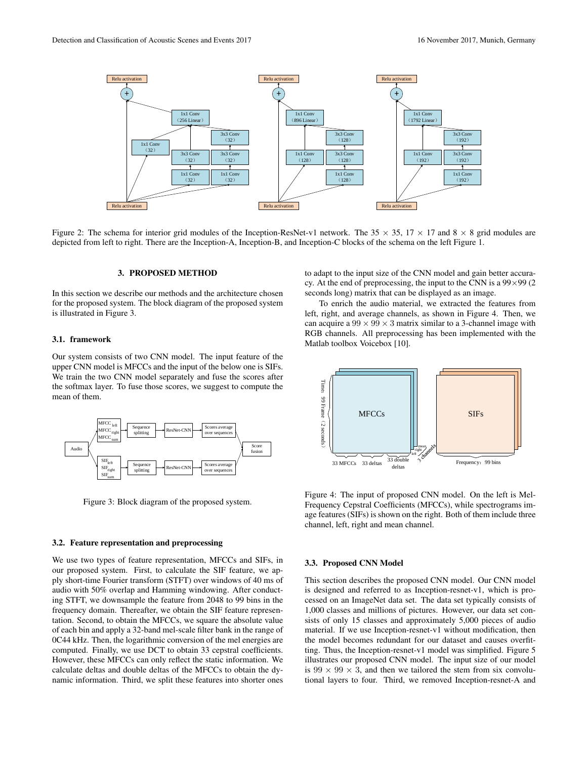

Figure 2: The schema for interior grid modules of the Inception-ResNet-v1 network. The  $35 \times 35$ ,  $17 \times 17$  and  $8 \times 8$  grid modules are depicted from left to right. There are the Inception-A, Inception-B, and Inception-C blocks of the schema on the left Figure 1.

## 3. PROPOSED METHOD

In this section we describe our methods and the architecture chosen for the proposed system. The block diagram of the proposed system is illustrated in Figure 3.

### 3.1. framework

Our system consists of two CNN model. The input feature of the upper CNN model is MFCCs and the input of the below one is SIFs. We train the two CNN model separately and fuse the scores after the softmax layer. To fuse those scores, we suggest to compute the mean of them.



Figure 3: Block diagram of the proposed system.

## 3.2. Feature representation and preprocessing

We use two types of feature representation, MFCCs and SIFs, in our proposed system. First, to calculate the SIF feature, we apply short-time Fourier transform (STFT) over windows of 40 ms of audio with 50% overlap and Hamming windowing. After conducting STFT, we downsample the feature from 2048 to 99 bins in the frequency domain. Thereafter, we obtain the SIF feature representation. Second, to obtain the MFCCs, we square the absolute value of each bin and apply a 32-band mel-scale filter bank in the range of 0C44 kHz. Then, the logarithmic conversion of the mel energies are computed. Finally, we use DCT to obtain 33 cepstral coefficients. However, these MFCCs can only reflect the static information. We calculate deltas and double deltas of the MFCCs to obtain the dynamic information. Third, we split these features into shorter ones to adapt to the input size of the CNN model and gain better accuracy. At the end of preprocessing, the input to the CNN is a  $99 \times 99$  (2) seconds long) matrix that can be displayed as an image.

To enrich the audio material, we extracted the features from left, right, and average channels, as shown in Figure 4. Then, we can acquire a  $99 \times 99 \times 3$  matrix similar to a 3-channel image with RGB channels. All preprocessing has been implemented with the Matlab toolbox Voicebox [10].



Figure 4: The input of proposed CNN model. On the left is Mel-Frequency Cepstral Coefficients (MFCCs), while spectrograms image features (SIFs) is shown on the right. Both of them include three channel, left, right and mean channel.

### 3.3. Proposed CNN Model

This section describes the proposed CNN model. Our CNN model is designed and referred to as Inception-resnet-v1, which is processed on an ImageNet data set. The data set typically consists of 1,000 classes and millions of pictures. However, our data set consists of only 15 classes and approximately 5,000 pieces of audio material. If we use Inception-resnet-v1 without modification, then the model becomes redundant for our dataset and causes overfitting. Thus, the Inception-resnet-v1 model was simplified. Figure 5 illustrates our proposed CNN model. The input size of our model is  $99 \times 99 \times 3$ , and then we tailored the stem from six convolutional layers to four. Third, we removed Inception-resnet-A and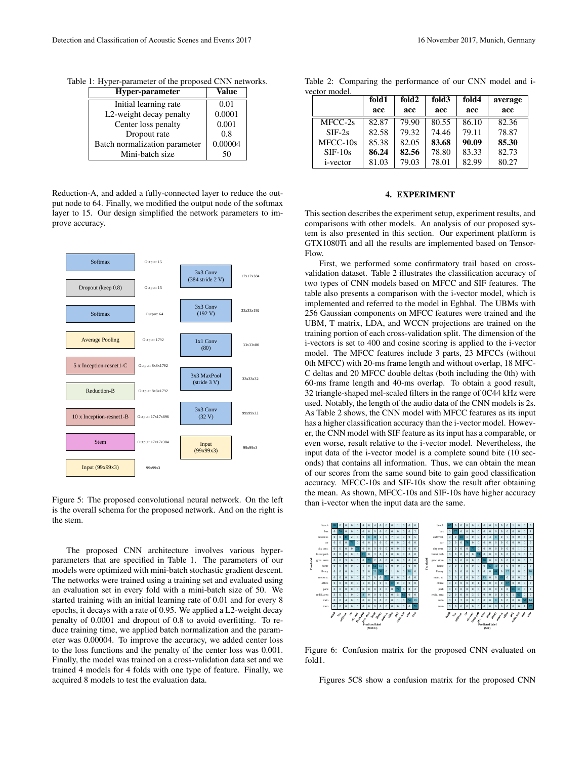| Hyper-parameter               | Value   |
|-------------------------------|---------|
| Initial learning rate         | 0.01    |
| L2-weight decay penalty       | 0.0001  |
| Center loss penalty           | 0.001   |
| Dropout rate                  | 0.8     |
| Batch normalization parameter | 0.00004 |
| Mini-batch size               |         |

Table 1: Hyper-parameter of the proposed CNN networks.

Reduction-A, and added a fully-connected layer to reduce the output node to 64. Finally, we modified the output node of the softmax layer to 15. Our design simplified the network parameters to improve accuracy.



Figure 5: The proposed convolutional neural network. On the left is the overall schema for the proposed network. And on the right is the stem.

The proposed CNN architecture involves various hyperparameters that are specified in Table 1. The parameters of our models were optimized with mini-batch stochastic gradient descent. The networks were trained using a training set and evaluated using an evaluation set in every fold with a mini-batch size of 50. We started training with an initial learning rate of 0.01 and for every 8 epochs, it decays with a rate of 0.95. We applied a L2-weight decay penalty of 0.0001 and dropout of 0.8 to avoid overfitting. To reduce training time, we applied batch normalization and the parameter was 0.00004. To improve the accuracy, we added center loss to the loss functions and the penalty of the center loss was 0.001. Finally, the model was trained on a cross-validation data set and we trained 4 models for 4 folds with one type of feature. Finally, we acquired 8 models to test the evaluation data.

Table 2: Comparing the performance of our CNN model and ivector model.

|                  | fold1 | fold <sub>2</sub> | fold3 | fold4 | average |
|------------------|-------|-------------------|-------|-------|---------|
|                  | acc   | acc               | acc   | acc   | acc     |
| MFCC-2s          | 82.87 | 79.90             | 80.55 | 86.10 | 82.36   |
| $SIF-2s$         | 82.58 | 79.32             | 74.46 | 79.11 | 78.87   |
| $MEC-10s$        | 85.38 | 82.05             | 83.68 | 90.09 | 85.30   |
| $SIF-10s$        | 86.24 | 82.56             | 78.80 | 83.33 | 82.73   |
| <i>i</i> -vector | 81.03 | 79.03             | 78.01 | 82.99 | 80.27   |

## 4. EXPERIMENT

This section describes the experiment setup, experiment results, and comparisons with other models. An analysis of our proposed system is also presented in this section. Our experiment platform is GTX1080Ti and all the results are implemented based on Tensor-Flow.

First, we performed some confirmatory trail based on crossvalidation dataset. Table 2 illustrates the classification accuracy of two types of CNN models based on MFCC and SIF features. The table also presents a comparison with the i-vector model, which is implemented and referred to the model in Eghbal. The UBMs with 256 Gaussian components on MFCC features were trained and the UBM, T matrix, LDA, and WCCN projections are trained on the training portion of each cross-validation split. The dimension of the i-vectors is set to 400 and cosine scoring is applied to the i-vector model. The MFCC features include 3 parts, 23 MFCCs (without 0th MFCC) with 20-ms frame length and without overlap, 18 MFC-C deltas and 20 MFCC double deltas (both including the 0th) with 60-ms frame length and 40-ms overlap. To obtain a good result, 32 triangle-shaped mel-scaled filters in the range of 0C44 kHz were used. Notably, the length of the audio data of the CNN models is 2s. As Table 2 shows, the CNN model with MFCC features as its input has a higher classification accuracy than the i-vector model. However, the CNN model with SIF feature as its input has a comparable, or even worse, result relative to the i-vector model. Nevertheless, the input data of the i-vector model is a complete sound bite (10 seconds) that contains all information. Thus, we can obtain the mean of our scores from the same sound bite to gain good classification accuracy. MFCC-10s and SIF-10s show the result after obtaining the mean. As shown, MFCC-10s and SIF-10s have higher accuracy than i-vector when the input data are the same.



Figure 6: Confusion matrix for the proposed CNN evaluated on fold1.

Figures 5C8 show a confusion matrix for the proposed CNN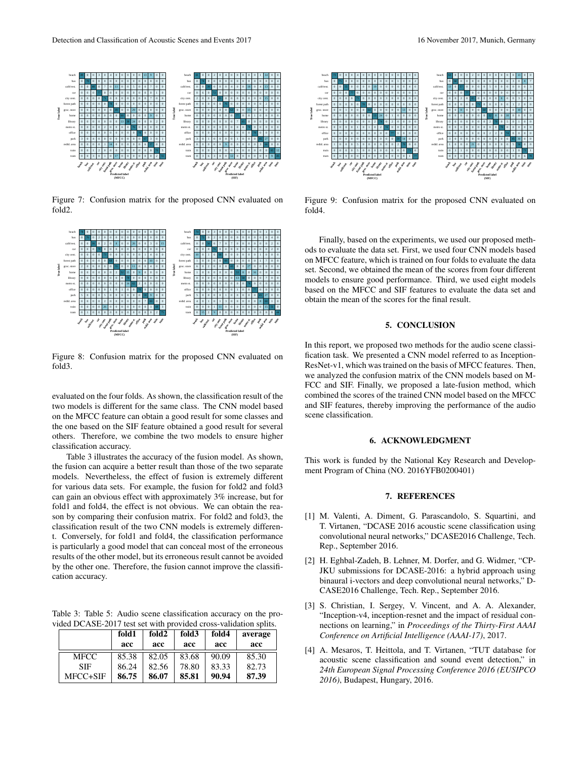

Figure 7: Confusion matrix for the proposed CNN evaluated on fold2.



Figure 8: Confusion matrix for the proposed CNN evaluated on fold3.

evaluated on the four folds. As shown, the classification result of the two models is different for the same class. The CNN model based on the MFCC feature can obtain a good result for some classes and the one based on the SIF feature obtained a good result for several others. Therefore, we combine the two models to ensure higher classification accuracy.

Table 3 illustrates the accuracy of the fusion model. As shown, the fusion can acquire a better result than those of the two separate models. Nevertheless, the effect of fusion is extremely different for various data sets. For example, the fusion for fold2 and fold3 can gain an obvious effect with approximately 3% increase, but for fold1 and fold4, the effect is not obvious. We can obtain the reason by comparing their confusion matrix. For fold2 and fold3, the classification result of the two CNN models is extremely different. Conversely, for fold1 and fold4, the classification performance is particularly a good model that can conceal most of the erroneous results of the other model, but its erroneous result cannot be avoided by the other one. Therefore, the fusion cannot improve the classification accuracy.

Table 3: Table 5: Audio scene classification accuracy on the provided DCASE-2017 test set with provided cross-validation splits.

|            | fold1 | fold <sub>2</sub> | fold3 | fold4 | average |
|------------|-------|-------------------|-------|-------|---------|
|            | acc   | acc               | acc   | acc   | acc     |
| MFCC       | 85.38 | 82.05             | 83.68 | 90.09 | 85.30   |
| <b>SIF</b> | 86.24 | 82.56             | 78.80 | 83.33 | 82.73   |
| MFCC+SIF   | 86.75 | 86.07             | 85.81 | 90.94 | 87.39   |



Figure 9: Confusion matrix for the proposed CNN evaluated on fold4.

Finally, based on the experiments, we used our proposed methods to evaluate the data set. First, we used four CNN models based on MFCC feature, which is trained on four folds to evaluate the data set. Second, we obtained the mean of the scores from four different models to ensure good performance. Third, we used eight models based on the MFCC and SIF features to evaluate the data set and obtain the mean of the scores for the final result.

# 5. CONCLUSION

In this report, we proposed two methods for the audio scene classification task. We presented a CNN model referred to as Inception-ResNet-v1, which was trained on the basis of MFCC features. Then, we analyzed the confusion matrix of the CNN models based on M-FCC and SIF. Finally, we proposed a late-fusion method, which combined the scores of the trained CNN model based on the MFCC and SIF features, thereby improving the performance of the audio scene classification.

#### 6. ACKNOWLEDGMENT

This work is funded by the National Key Research and Development Program of China (NO. 2016YFB0200401)

# 7. REFERENCES

- [1] M. Valenti, A. Diment, G. Parascandolo, S. Squartini, and T. Virtanen, "DCASE 2016 acoustic scene classification using convolutional neural networks," DCASE2016 Challenge, Tech. Rep., September 2016.
- [2] H. Eghbal-Zadeh, B. Lehner, M. Dorfer, and G. Widmer, "CP-JKU submissions for DCASE-2016: a hybrid approach using binaural i-vectors and deep convolutional neural networks," D-CASE2016 Challenge, Tech. Rep., September 2016.
- [3] S. Christian, I. Sergey, V. Vincent, and A. A. Alexander, "Inception-v4, inception-resnet and the impact of residual connections on learning," in *Proceedings of the Thirty-First AAAI Conference on Artificial Intelligence (AAAI-17)*, 2017.
- [4] A. Mesaros, T. Heittola, and T. Virtanen, "TUT database for acoustic scene classification and sound event detection," in *24th European Signal Processing Conference 2016 (EUSIPCO 2016)*, Budapest, Hungary, 2016.